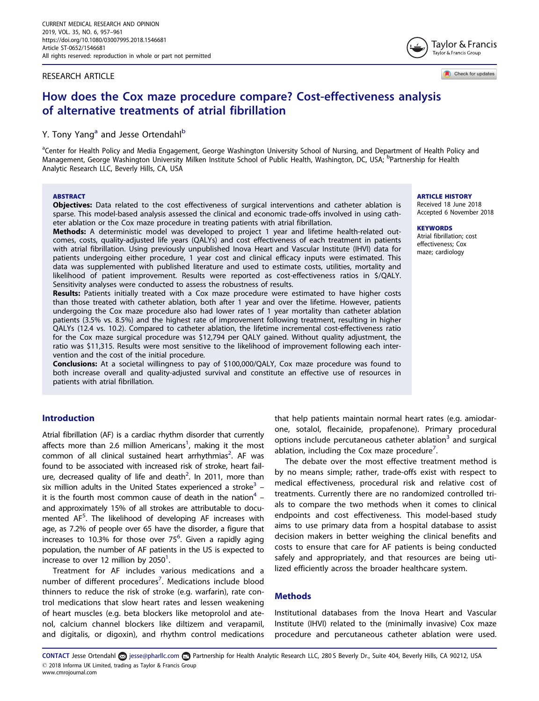## <span id="page-0-0"></span>RESEARCH ARTICLE

Check for updates

# How does the Cox maze procedure compare? Cost-effectiveness analysis of alternative treatments of atrial fibrillation

# Y. Tony Yang<sup>a</sup> and Jesse Ortendahl<sup>b</sup>

<sup>a</sup>Center for Health Policy and Media Engagement, George Washington University School of Nursing, and Department of Health Policy and Management, George Washington University Milken Institute School of Public Health, Washington, DC, USA; <sup>b</sup>Partnership for Health Analytic Research LLC, Beverly Hills, CA, USA

#### ABSTRACT

**Objectives:** Data related to the cost effectiveness of surgical interventions and catheter ablation is sparse. This model-based analysis assessed the clinical and economic trade-offs involved in using catheter ablation or the Cox maze procedure in treating patients with atrial fibrillation.

Methods: A deterministic model was developed to project 1 year and lifetime health-related outcomes, costs, quality-adjusted life years (QALYs) and cost effectiveness of each treatment in patients with atrial fibrillation. Using previously unpublished Inova Heart and Vascular Institute (IHVI) data for patients undergoing either procedure, 1 year cost and clinical efficacy inputs were estimated. This data was supplemented with published literature and used to estimate costs, utilities, mortality and likelihood of patient improvement. Results were reported as cost-effectiveness ratios in \$/QALY. Sensitivity analyses were conducted to assess the robustness of results.

Results: Patients initially treated with a Cox maze procedure were estimated to have higher costs than those treated with catheter ablation, both after 1 year and over the lifetime. However, patients undergoing the Cox maze procedure also had lower rates of 1 year mortality than catheter ablation patients (3.5% vs. 8.5%) and the highest rate of improvement following treatment, resulting in higher QALYs (12.4 vs. 10.2). Compared to catheter ablation, the lifetime incremental cost-effectiveness ratio for the Cox maze surgical procedure was \$12,794 per QALY gained. Without quality adjustment, the ratio was \$11,315. Results were most sensitive to the likelihood of improvement following each intervention and the cost of the initial procedure.

Conclusions: At a societal willingness to pay of \$100,000/QALY, Cox maze procedure was found to both increase overall and quality-adjusted survival and constitute an effective use of resources in patients with atrial fibrillation.

# Introduction

Atrial fibrillation (AF) is a cardiac rhythm disorder that currently affects more than 2.6 million Americans<sup>1</sup>, making it the most common of all clinical sustained heart arrhythmias<sup>2</sup>. AF was found to be associated with increased risk of stroke, heart fail-ure, decreased quality of life and death<sup>[2](#page-4-0)</sup>. In 2011, more than six million adults in the United States experienced a stroke<sup>3</sup> – it is the fourth most common cause of death in the nation<sup>[4](#page-4-0)</sup> – and approximately 15% of all strokes are attributable to documented AF<sup>5</sup>. The likelihood of developing AF increases with age, as 7.2% of people over 65 have the disorder, a figure that increases to 10.3% for those over 75<sup>6</sup>. Given a rapidly aging population, the number of AF patients in the US is expected to increase to over 12 million by 2050<sup>1</sup>.

Treatment for AF includes various medications and a number of different procedures<sup>7</sup>. Medications include blood thinners to reduce the risk of stroke (e.g. warfarin), rate control medications that slow heart rates and lessen weakening of heart muscles (e.g. beta blockers like metoprolol and atenol, calcium channel blockers like diltizem and verapamil, and digitalis, or digoxin), and rhythm control medications that help patients maintain normal heart rates (e.g. amiodarone, sotalol, flecainide, propafenone). Primary procedural options include percutaneous catheter ablation $3$  and surgical ablation, including the Cox maze procedure<sup>[7](#page-4-0)</sup>.

The debate over the most effective treatment method is by no means simple; rather, trade-offs exist with respect to medical effectiveness, procedural risk and relative cost of treatments. Currently there are no randomized controlled trials to compare the two methods when it comes to clinical endpoints and cost effectiveness. This model-based study aims to use primary data from a hospital database to assist decision makers in better weighing the clinical benefits and costs to ensure that care for AF patients is being conducted safely and appropriately, and that resources are being utilized efficiently across the broader healthcare system.

# **Methods**

Institutional databases from the Inova Heart and Vascular Institute (IHVI) related to the (minimally invasive) Cox maze procedure and percutaneous catheter ablation were used.

CONTACT Jesse Ortendahl @ jesse@pharllc.com @ Partnership for Health Analytic Research LLC, 280 S Beverly Dr., Suite 404, Beverly Hills, CA 90212, USA 2018 Informa UK Limited, trading as Taylor & Francis Group www.cmrojournal.com

#### ARTICLE HISTORY

Received 18 June 2018 Accepted 6 November 2018

#### **KEYWORDS**

Atrial fibrillation; cost effectiveness; Cox maze; cardiology

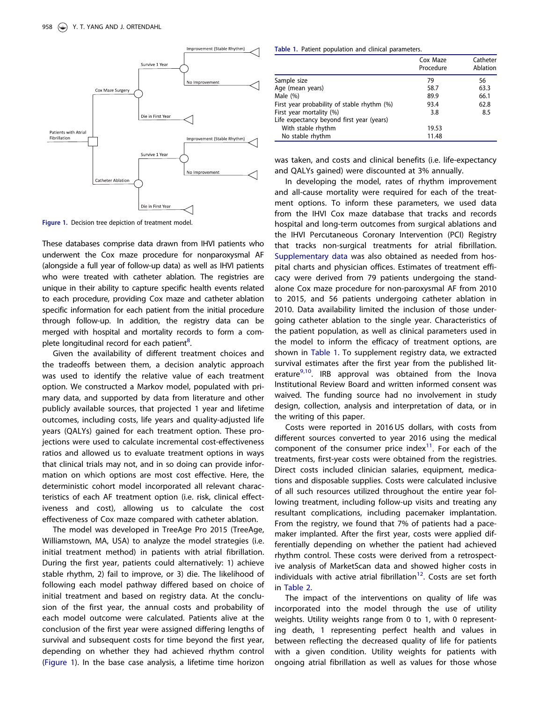<span id="page-1-0"></span>

Figure 1. Decision tree depiction of treatment model.

These databases comprise data drawn from IHVI patients who underwent the Cox maze procedure for nonparoxysmal AF (alongside a full year of follow-up data) as well as IHVI patients who were treated with catheter ablation. The registries are unique in their ability to capture specific health events related to each procedure, providing Cox maze and catheter ablation specific information for each patient from the initial procedure through follow-up. In addition, the registry data can be merged with hospital and mortality records to form a complete longitudinal record for each patient $^8$ .

Given the availability of different treatment choices and the tradeoffs between them, a decision analytic approach was used to identify the relative value of each treatment option. We constructed a Markov model, populated with primary data, and supported by data from literature and other publicly available sources, that projected 1 year and lifetime outcomes, including costs, life years and quality-adjusted life years (QALYs) gained for each treatment option. These projections were used to calculate incremental cost-effectiveness ratios and allowed us to evaluate treatment options in ways that clinical trials may not, and in so doing can provide information on which options are most cost effective. Here, the deterministic cohort model incorporated all relevant characteristics of each AF treatment option (i.e. risk, clinical effectiveness and cost), allowing us to calculate the cost effectiveness of Cox maze compared with catheter ablation.

The model was developed in TreeAge Pro 2015 (TreeAge, Williamstown, MA, USA) to analyze the model strategies (i.e. initial treatment method) in patients with atrial fibrillation. During the first year, patients could alternatively: 1) achieve stable rhythm, 2) fail to improve, or 3) die. The likelihood of following each model pathway differed based on choice of initial treatment and based on registry data. At the conclusion of the first year, the annual costs and probability of each model outcome were calculated. Patients alive at the conclusion of the first year were assigned differing lengths of survival and subsequent costs for time beyond the first year, depending on whether they had achieved rhythm control (Figure 1). In the base case analysis, a lifetime time horizon

Table 1. Patient population and clinical parameters.

|                                             | Cox Maze<br>Procedure | Catheter<br>Ablation |
|---------------------------------------------|-----------------------|----------------------|
| Sample size                                 | 79                    | 56                   |
| Age (mean years)                            | 58.7                  | 63.3                 |
| Male $(\%)$                                 | 89.9                  | 66.1                 |
| First year probability of stable rhythm (%) | 93.4                  | 62.8                 |
| First year mortality (%)                    | 3.8                   | 8.5                  |
| Life expectancy beyond first year (years)   |                       |                      |
| With stable rhythm                          | 19.53                 |                      |
| No stable rhythm                            | 11.48                 |                      |

was taken, and costs and clinical benefits (i.e. life-expectancy and QALYs gained) were discounted at 3% annually.

In developing the model, rates of rhythm improvement and all-cause mortality were required for each of the treatment options. To inform these parameters, we used data from the IHVI Cox maze database that tracks and records hospital and long-term outcomes from surgical ablations and the IHVI Percutaneous Coronary Intervention (PCI) Registry that tracks non-surgical treatments for atrial fibrillation. [Supplementary data](https://doi.org/10.1080/03007995.2018.1546681) was also obtained as needed from hospital charts and physician offices. Estimates of treatment efficacy were derived from 79 patients undergoing the standalone Cox maze procedure for non-paroxysmal AF from 2010 to 2015, and 56 patients undergoing catheter ablation in 2010. Data availability limited the inclusion of those undergoing catheter ablation to the single year. Characteristics of the patient population, as well as clinical parameters used in the model to inform the efficacy of treatment options, are shown in Table 1. To supplement registry data, we extracted survival estimates after the first year from the published lit-erature<sup>[9](#page-4-0),[10](#page-4-0)</sup>. IRB approval was obtained from the Inova Institutional Review Board and written informed consent was waived. The funding source had no involvement in study design, collection, analysis and interpretation of data, or in the writing of this paper.

Costs were reported in 2016 US dollars, with costs from different sources converted to year 2016 using the medical component of the consumer price index $11$ . For each of the treatments, first-year costs were obtained from the registries. Direct costs included clinician salaries, equipment, medications and disposable supplies. Costs were calculated inclusive of all such resources utilized throughout the entire year following treatment, including follow-up visits and treating any resultant complications, including pacemaker implantation. From the registry, we found that 7% of patients had a pacemaker implanted. After the first year, costs were applied differentially depending on whether the patient had achieved rhythm control. These costs were derived from a retrospective analysis of MarketScan data and showed higher costs in individuals with active atrial fibrillation<sup>12</sup>. Costs are set forth in [Table 2](#page-2-0).

The impact of the interventions on quality of life was incorporated into the model through the use of utility weights. Utility weights range from 0 to 1, with 0 representing death, 1 representing perfect health and values in between reflecting the decreased quality of life for patients with a given condition. Utility weights for patients with ongoing atrial fibrillation as well as values for those whose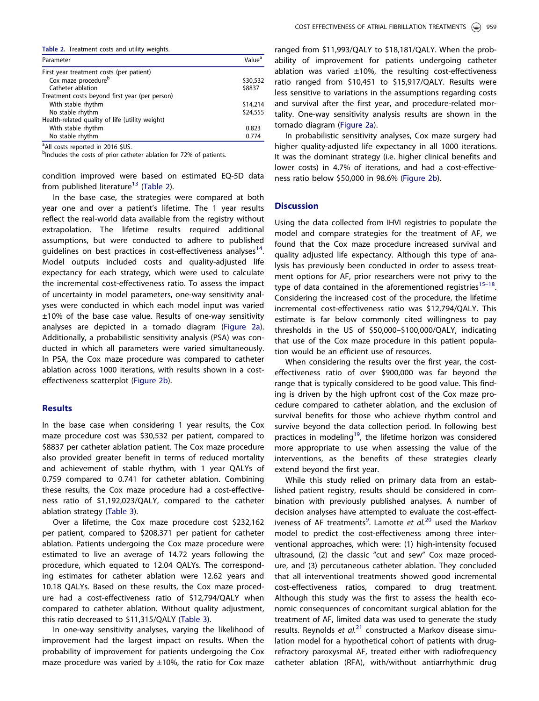<span id="page-2-0"></span>

| Parameter                                       | Value <sup>a</sup> |
|-------------------------------------------------|--------------------|
| First year treatment costs (per patient)        |                    |
| Cox maze procedure <sup>b</sup>                 | \$30,532           |
| Catheter ablation                               | \$8837             |
| Treatment costs beyond first year (per person)  |                    |
| With stable rhythm                              | \$14,214           |
| No stable rhythm                                | \$24,555           |
| Health-related quality of life (utility weight) |                    |
| With stable rhythm                              | 0.823              |
| No stable rhythm                                | 0.774              |

<sup>a</sup> All costs reported in 2016 \$US.

<sup>b</sup>Includes the costs of prior catheter ablation for 72% of patients.

condition improved were based on estimated EQ-5D data from published literature<sup>[13](#page-4-0)</sup> (Table 2).

In the base case, the strategies were compared at both year one and over a patient's lifetime. The 1 year results reflect the real-world data available from the registry without extrapolation. The lifetime results required additional assumptions, but were conducted to adhere to published guidelines on best practices in cost-effectiveness analyses<sup>14</sup>. Model outputs included costs and quality-adjusted life expectancy for each strategy, which were used to calculate the incremental cost-effectiveness ratio. To assess the impact of uncertainty in model parameters, one-way sensitivity analyses were conducted in which each model input was varied ±10% of the base case value. Results of one-way sensitivity analyses are depicted in a tornado diagram [\(Figure 2a](#page-3-0)). Additionally, a probabilistic sensitivity analysis (PSA) was conducted in which all parameters were varied simultaneously. In PSA, the Cox maze procedure was compared to catheter ablation across 1000 iterations, with results shown in a costeffectiveness scatterplot [\(Figure 2b\)](#page-3-0).

#### **Results**

In the base case when considering 1 year results, the Cox maze procedure cost was \$30,532 per patient, compared to \$8837 per catheter ablation patient. The Cox maze procedure also provided greater benefit in terms of reduced mortality and achievement of stable rhythm, with 1 year QALYs of 0.759 compared to 0.741 for catheter ablation. Combining these results, the Cox maze procedure had a cost-effectiveness ratio of \$1,192,023/QALY, compared to the catheter ablation strategy ([Table 3\)](#page-3-0).

Over a lifetime, the Cox maze procedure cost \$232,162 per patient, compared to \$208,371 per patient for catheter ablation. Patients undergoing the Cox maze procedure were estimated to live an average of 14.72 years following the procedure, which equated to 12.04 QALYs. The corresponding estimates for catheter ablation were 12.62 years and 10.18 QALYs. Based on these results, the Cox maze procedure had a cost-effectiveness ratio of \$12,794/QALY when compared to catheter ablation. Without quality adjustment, this ratio decreased to \$11,315/QALY ([Table 3](#page-3-0)).

In one-way sensitivity analyses, varying the likelihood of improvement had the largest impact on results. When the probability of improvement for patients undergoing the Cox maze procedure was varied by  $\pm 10$ %, the ratio for Cox maze

ranged from \$11,993/QALY to \$18,181/QALY. When the probability of improvement for patients undergoing catheter ablation was varied  $\pm 10\%$ , the resulting cost-effectiveness ratio ranged from \$10,451 to \$15,917/QALY. Results were less sensitive to variations in the assumptions regarding costs and survival after the first year, and procedure-related mortality. One-way sensitivity analysis results are shown in the tornado diagram ([Figure 2a\)](#page-3-0).

In probabilistic sensitivity analyses, Cox maze surgery had higher quality-adjusted life expectancy in all 1000 iterations. It was the dominant strategy (i.e. higher clinical benefits and lower costs) in 4.7% of iterations, and had a cost-effectiveness ratio below \$50,000 in 98.6% ([Figure 2b](#page-3-0)).

# **Discussion**

Using the data collected from IHVI registries to populate the model and compare strategies for the treatment of AF, we found that the Cox maze procedure increased survival and quality adjusted life expectancy. Although this type of analysis has previously been conducted in order to assess treatment options for AF, prior researchers were not privy to the type of data contained in the aforementioned registries<sup>15-18</sup>. Considering the increased cost of the procedure, the lifetime incremental cost-effectiveness ratio was \$12,794/QALY. This estimate is far below commonly cited willingness to pay thresholds in the US of \$50,000–\$100,000/QALY, indicating that use of the Cox maze procedure in this patient population would be an efficient use of resources.

When considering the results over the first year, the costeffectiveness ratio of over \$900,000 was far beyond the range that is typically considered to be good value. This finding is driven by the high upfront cost of the Cox maze procedure compared to catheter ablation, and the exclusion of survival benefits for those who achieve rhythm control and survive beyond the data collection period. In following best practices in modeling<sup>[19](#page-4-0)</sup>, the lifetime horizon was considered more appropriate to use when assessing the value of the interventions, as the benefits of these strategies clearly extend beyond the first year.

While this study relied on primary data from an established patient registry, results should be considered in combination with previously published analyses. A number of decision analyses have attempted to evaluate the cost-effect-iveness of AF treatments<sup>[9](#page-4-0)</sup>. Lamotte et al.<sup>[20](#page-4-0)</sup> used the Markov model to predict the cost-effectiveness among three interventional approaches, which were: (1) high-intensity focused ultrasound, (2) the classic "cut and sew" Cox maze procedure, and (3) percutaneous catheter ablation. They concluded that all interventional treatments showed good incremental cost-effectiveness ratios, compared to drug treatment. Although this study was the first to assess the health economic consequences of concomitant surgical ablation for the treatment of AF, limited data was used to generate the study results. Reynolds et  $al^{21}$  $al^{21}$  $al^{21}$  constructed a Markov disease simulation model for a hypothetical cohort of patients with drugrefractory paroxysmal AF, treated either with radiofrequency catheter ablation (RFA), with/without antiarrhythmic drug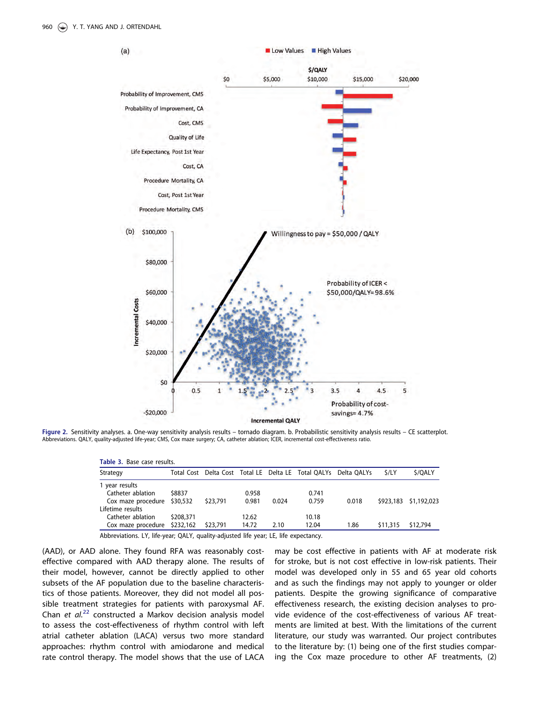<span id="page-3-0"></span>

Figure 2. Sensitivity analyses. a. One-way sensitivity analysis results – tornado diagram. b. Probabilistic sensitivity analysis results – CE scatterplot. Abbreviations. QALY, quality-adjusted life-year; CMS, Cox maze surgery; CA, catheter ablation; ICER, incremental cost-effectiveness ratio.

| Table 3. Base case results.  |           |          |       |       |                                                                 |       |             |             |  |  |
|------------------------------|-----------|----------|-------|-------|-----------------------------------------------------------------|-------|-------------|-------------|--|--|
| Strategy                     |           |          |       |       | Total Cost Delta Cost Total LE Delta LE Total QALYs Delta QALYs |       | <i>S/LY</i> | \$/OALY     |  |  |
| 1 year results               |           |          |       |       |                                                                 |       |             |             |  |  |
| Catheter ablation            | \$8837    |          | 0.958 |       | 0.741                                                           |       |             |             |  |  |
| Cox maze procedure \$30,532  |           | \$23,791 | 0.981 | 0.024 | 0.759                                                           | 0.018 | \$923,183   | \$1,192,023 |  |  |
| Lifetime results             |           |          |       |       |                                                                 |       |             |             |  |  |
| Catheter ablation            | \$208,371 |          | 12.62 |       | 10.18                                                           |       |             |             |  |  |
| Cox maze procedure \$232,162 |           | \$23,791 | 14.72 | 2.10  | 12.04                                                           | 1.86  | \$11,315    | \$12,794    |  |  |

Abbreviations. LY, life-year; QALY, quality-adjusted life year; LE, life expectancy.

(AAD), or AAD alone. They found RFA was reasonably costeffective compared with AAD therapy alone. The results of their model, however, cannot be directly applied to other subsets of the AF population due to the baseline characteristics of those patients. Moreover, they did not model all possible treatment strategies for patients with paroxysmal AF. Chan et  $al^{22}$  $al^{22}$  $al^{22}$  constructed a Markov decision analysis model to assess the cost-effectiveness of rhythm control with left atrial catheter ablation (LACA) versus two more standard approaches: rhythm control with amiodarone and medical rate control therapy. The model shows that the use of LACA may be cost effective in patients with AF at moderate risk for stroke, but is not cost effective in low-risk patients. Their model was developed only in 55 and 65 year old cohorts and as such the findings may not apply to younger or older patients. Despite the growing significance of comparative effectiveness research, the existing decision analyses to provide evidence of the cost-effectiveness of various AF treatments are limited at best. With the limitations of the current literature, our study was warranted. Our project contributes to the literature by: (1) being one of the first studies comparing the Cox maze procedure to other AF treatments, (2)